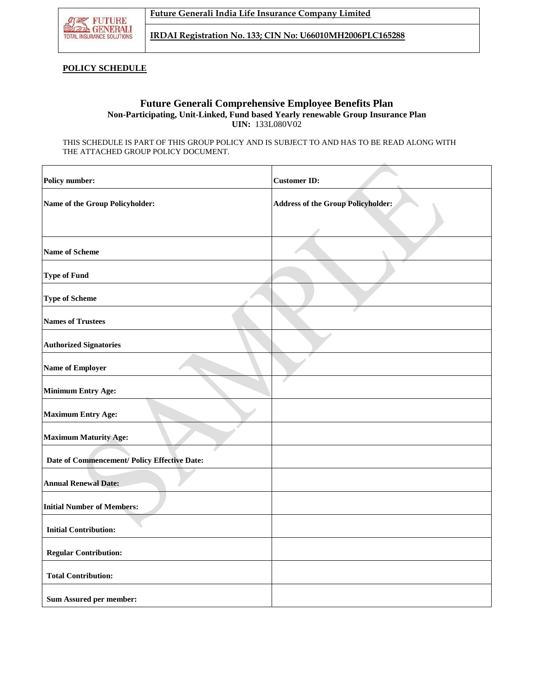

**IRDAI Registration No. 133; CIN No: U66010MH2006PLC165288**

## **POLICY SCHEDULE**

## **Future Generali Comprehensive Employee Benefits Plan Non-Participating, Unit-Linked, Fund based Yearly renewable Group Insurance Plan UIN:** 133L080V02

THIS SCHEDULE IS PART OF THIS GROUP POLICY AND IS SUBJECT TO AND HAS TO BE READ ALONG WITH THE ATTACHED GROUP POLICY DOCUMENT.

| <b>Policy number:</b>                        | <b>Customer ID:</b>                       |
|----------------------------------------------|-------------------------------------------|
| Name of the Group Policyholder:              | <b>Address of the Group Policyholder:</b> |
|                                              |                                           |
| <b>Name of Scheme</b>                        |                                           |
| <b>Type of Fund</b>                          |                                           |
| <b>Type of Scheme</b>                        |                                           |
| <b>Names of Trustees</b>                     |                                           |
| <b>Authorized Signatories</b>                |                                           |
| <b>Name of Employer</b>                      |                                           |
| <b>Minimum Entry Age:</b>                    |                                           |
| <b>Maximum Entry Age:</b>                    |                                           |
| <b>Maximum Maturity Age:</b>                 |                                           |
| Date of Commencement/ Policy Effective Date: |                                           |
| <b>Annual Renewal Date:</b>                  |                                           |
| <b>Initial Number of Members:</b>            |                                           |
| <b>Initial Contribution:</b>                 |                                           |
| <b>Regular Contribution:</b>                 |                                           |
| <b>Total Contribution:</b>                   |                                           |
| Sum Assured per member:                      |                                           |